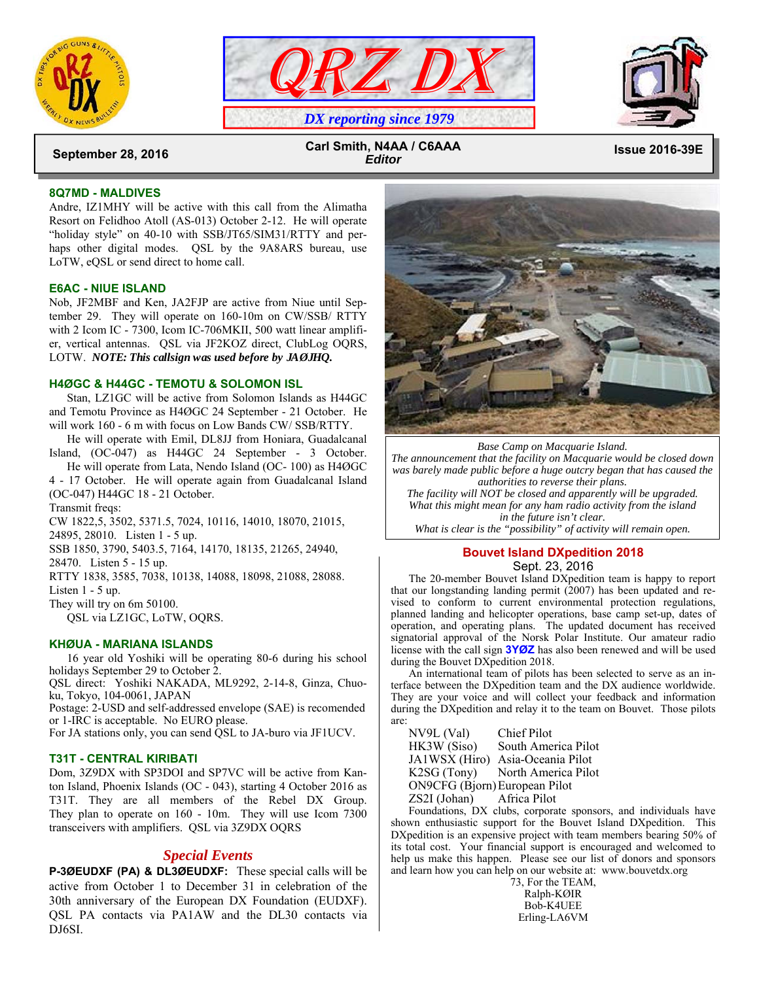





 **Issue 2016-39E September 28, 2016 Carl Smith, N4AA / C6AAA**  *Editor*

## **8Q7MD - MALDIVES**

Andre, IZ1MHY will be active with this call from the Alimatha Resort on Felidhoo Atoll (AS-013) October 2-12. He will operate "holiday style" on 40-10 with SSB/JT65/SIM31/RTTY and perhaps other digital modes. QSL by the 9A8ARS bureau, use LoTW, eQSL or send direct to home call.

## **E6AC - NIUE ISLAND**

Nob, JF2MBF and Ken, JA2FJP are active from Niue until September 29. They will operate on 160-10m on CW/SSB/ RTTY with 2 Icom IC - 7300, Icom IC-706MKII, 500 watt linear amplifier, vertical antennas. QSL via JF2KOZ direct, ClubLog OQRS, LOTW. *NOTE: This callsign was used before by JAØJHQ.*

## **H4ØGC & H44GC - TEMOTU & SOLOMON ISL**

 Stan, LZ1GC will be active from Solomon Islands as H44GC and Temotu Province as H4ØGC 24 September - 21 October. He will work 160 - 6 m with focus on Low Bands CW/ SSB/RTTY.

 He will operate with Emil, DL8JJ from Honiara, Guadalcanal Island, (OC-047) as H44GC 24 September - 3 October.

 He will operate from Lata, Nendo Island (OC- 100) as H4ØGC 4 - 17 October. He will operate again from Guadalcanal Island (OC-047) H44GC 18 - 21 October.

Transmit freqs:

CW 1822,5, 3502, 5371.5, 7024, 10116, 14010, 18070, 21015,

24895, 28010. Listen 1 - 5 up.

SSB 1850, 3790, 5403.5, 7164, 14170, 18135, 21265, 24940,

28470. Listen 5 - 15 up.

RTTY 1838, 3585, 7038, 10138, 14088, 18098, 21088, 28088.

Listen 1 - 5 up.

They will try on 6m 50100.

QSL via LZ1GC, LoTW, OQRS.

## **KHØUA - MARIANA ISLANDS**

 16 year old Yoshiki will be operating 80-6 during his school holidays September 29 to October 2.

QSL direct: Yoshiki NAKADA, ML9292, 2-14-8, Ginza, Chuoku, Tokyo, 104-0061, JAPAN

Postage: 2-USD and self-addressed envelope (SAE) is recomended or 1-IRC is acceptable. No EURO please.

For JA stations only, you can send QSL to JA-buro via JF1UCV.

## **T31T - CENTRAL KIRIBATI**

Dom, 3Z9DX with SP3DOI and SP7VC will be active from Kanton Island, Phoenix Islands (OC - 043), starting 4 October 2016 as T31T. They are all members of the Rebel DX Group. They plan to operate on 160 - 10m. They will use Icom 7300 transceivers with amplifiers. QSL via 3Z9DX OQRS

# *Special Events*

**P-3ØEUDXF (PA) & DL3ØEUDXF:** These special calls will be active from October 1 to December 31 in celebration of the 30th anniversary of the European DX Foundation (EUDXF). QSL PA contacts via PA1AW and the DL30 contacts via DJ6SI.



*Base Camp on Macquarie Island. The announcement that the facility on Macquarie would be closed down was barely made public before a huge outcry began that has caused the authorities to reverse their plans. The facility will NOT be closed and apparently will be upgraded. What this might mean for any ham radio activity from the island* 

*in the future isn't clear. What is clear is the "possibility" of activity will remain open.* 

## **Bouvet Island DXpedition 2018**  Sept. 23, 2016

 The 20-member Bouvet Island DXpedition team is happy to report that our longstanding landing permit (2007) has been updated and revised to conform to current environmental protection regulations, planned landing and helicopter operations, base camp set-up, dates of operation, and operating plans. The updated document has received signatorial approval of the Norsk Polar Institute. Our amateur radio license with the call sign **3YØZ** has also been renewed and will be used during the Bouvet DXpedition 2018.

 An international team of pilots has been selected to serve as an interface between the DXpedition team and the DX audience worldwide. They are your voice and will collect your feedback and information during the DXpedition and relay it to the team on Bouvet. Those pilots are:

| NV9L (Val)                    | Chief Pilot                     |
|-------------------------------|---------------------------------|
| HK3W (Siso)                   | South America Pilot             |
| JA1WSX (Hiro)                 | Asia-Oceania Pilot              |
|                               | K2SG (Tony) North America Pilot |
| ON9CFG (Bjorn) European Pilot |                                 |
| ZS2I (Johan) Africa Pilot     |                                 |

 Foundations, DX clubs, corporate sponsors, and individuals have shown enthusiastic support for the Bouvet Island DXpedition. This DXpedition is an expensive project with team members bearing 50% of its total cost. Your financial support is encouraged and welcomed to help us make this happen. Please see our list of donors and sponsors and learn how you can help on our website at: www.bouvetdx.org

73, For the TEAM, Ralph-KØIR Bob-K4UEE Erling-LA6VM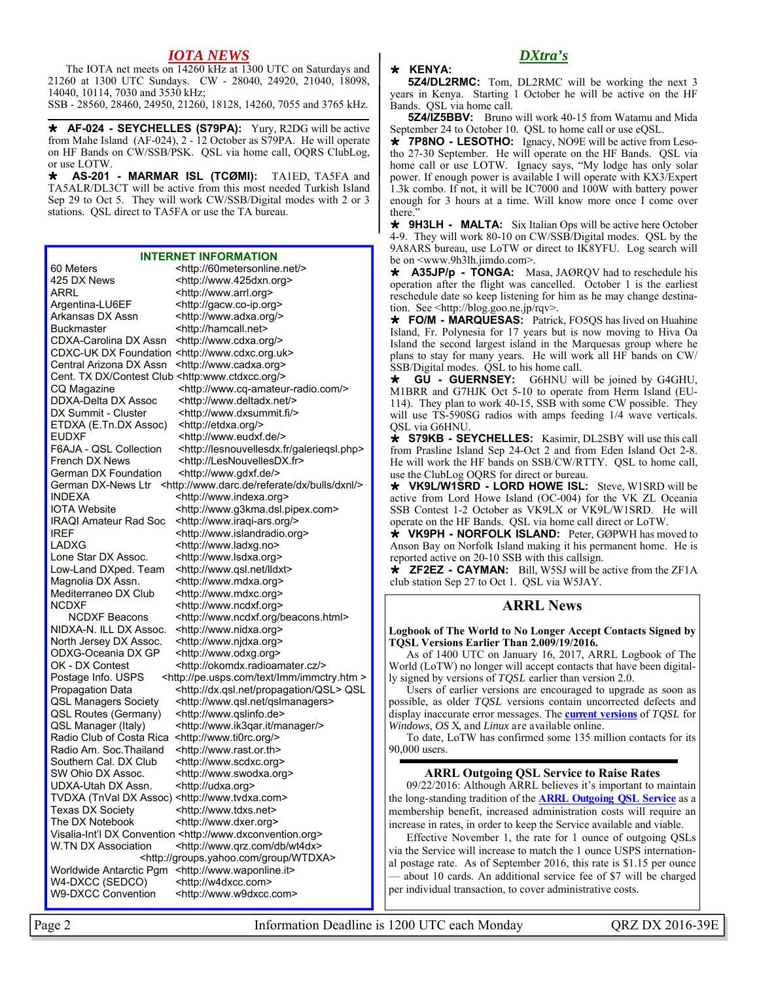# *IOTA NEWS*

 The IOTA net meets on 14260 kHz at 1300 UTC on Saturdays and 21260 at 1300 UTC Sundays. CW - 28040, 24920, 21040, 18098, 14040, 10114, 7030 and 3530 kHz;

SSB - 28560, 28460, 24950, 21260, 18128, 14260, 7055 and 3765 kHz.

 **AF-024 - SEYCHELLES (S79PA):** Yury, R2DG will be active from Mahe Island (AF-024), 2 - 12 October as S79PA. He will operate on HF Bands on CW/SSB/PSK. QSL via home call, OQRS ClubLog, or use LOTW.

 **AS-201 - MARMAR ISL (TCØMI):** TA1ED, TA5FA and TA5ALR/DL3CT will be active from this most needed Turkish Island Sep 29 to Oct 5. They will work CW/SSB/Digital modes with 2 or 3 stations. QSL direct to TA5FA or use the TA bureau.

#### **INTERNET INFORMATION**

60 Meters <http://60metersonline.net/> 425 DX News <http://www.425dxn.org> ARRL <http://www.arrl.org><br>Argentina-LU6EF <http://gacw.co-ip.org <http://gacw.co-ip.org> Arkansas DX Assn <http://www.adxa.org/> Buckmaster <http://hamcall.net> CDXA-Carolina DX Assn <http://www.cdxa.org/> CDXC-UK DX Foundation <http://www.cdxc.org.uk> Central Arizona DX Assn <http://www.cadxa.org> Cent. TX DX/Contest Club <http:www.ctdxcc.org/> CQ Magazine <http://www.cq-amateur-radio.com/> DDXA-Delta DX Assoc <http://www.deltadx.net/> DX Summit - Cluster <http://www.dxsummit.fi/> ETDXA (E.Tn.DX Assoc) <http://etdxa.org/> EUDXF <http://www.eudxf.de/><br>F6AJA - QSL Collection <http://lesnouvellesdx.f <http://lesnouvellesdx.fr/galeriegsl.php> French DX News <http://LesNouvellesDX.fr> German DX Foundation <http://www.gdxf.de/> German DX-News Ltr <http://www.darc.de/referate/dx/bulls/dxnl/> INDEXA <http://www.indexa.org> IOTA Website <http://www.g3kma.dsl.pipex.com><br>IRAQI Amateur Rad Soc <http://www.iraqi-ars.org/> <http://www.iraqi-ars.org/> IREF <http://www.islandradio.org> LADXG <http://www.ladxg.no> Lone Star DX Assoc. <http://www.lsdxa.org> Low-Land DXped. Team <http://www.qsl.net/lldxt> Magnolia DX Assn. <http://www.mdxa.org> Mediterraneo DX Club <http://www.mdxc.org> NCDXF <http://www.ncdxf.org> NCDXF Beacons <http://www.ncdxf.org/beacons.html> NIDXA-N. ILL DX Assoc. <http://www.nidxa.org> North Jersey DX Assoc. < http://www.njdxa.org> ODXG-Oceania DX GP <http://www.odxg.org> OK - DX Contest <http://okomdx.radioamater.cz/> Postage Info. USPS <http://pe.usps.com/text/Imm/immctry.htm > Propagation Data <http://dx.qsl.net/propagation/QSL> QSL QSL Managers Society <http://www.qsl.net/qslmanagers><br>QSL Routes (Germany) <http://www.gslinfo.de> QSL Routes (Germany) QSL Manager (Italy) <http://www.ik3gar.it/manager/> Radio Club of Costa Rica <http://www.ti0rc.org/> Radio Am. Soc.Thailand <http://www.rast.or.th> Southern Cal. DX Club <http://www.scdxc.org> SW Ohio DX Assoc. <http://www.swodxa.org> UDXA-Utah DX Assn. <http://udxa.org> TVDXA (TnVal DX Assoc) <http://www.tvdxa.com> Texas DX Society <http://www.tdxs.net> The DX Notebook <http://www.dxer.org> Visalia-Int'l DX Convention <http://www.dxconvention.org> W.TN DX Association <http://www.qrz.com/db/wt4dx> <http://groups.yahoo.com/group/WTDXA> Worldwide Antarctic Pgm <http://www.waponline.it> W4-DXCC (SEDCO) <http://w4dxcc.com> W9-DXCC Convention <http://www.w9dxcc.com>

 **KENYA:** 

 **5Z4/DL2RMC:** Tom, DL2RMC will be working the next 3 years in Kenya. Starting 1 October he will be active on the HF Bands. QSL via home call.

*DXtra's* 

**5Z4/IZ5BBV:** Bruno will work 40-15 from Watamu and Mida September 24 to October 10. QSL to home call or use eQSL.

 **7P8NO - LESOTHO:** Ignacy, NO9E will be active from Lesotho 27-30 September. He will operate on the HF Bands. QSL via home call or use LOTW. Ignacy says, "My lodge has only solar power. If enough power is available I will operate with KX3/Expert 1.3k combo. If not, it will be IC7000 and  $100W$  with battery power enough for 3 hours at a time. Will know more once I come over there."

 **9H3LH - MALTA:** Six Italian Ops will be active here October 4-9. They will work 80-10 on CW/SSB/Digital modes. QSL by the 9A8ARS bureau, use LoTW or direct to IK8YFU. Log search will be on <www.9h3lh.jimdo.com>.

 **A35JP/p - TONGA:** Masa, JAØRQV had to reschedule his operation after the flight was cancelled. October 1 is the earliest reschedule date so keep listening for him as he may change destination. See <http://blog.goo.ne.jp/rqv>.

 **FO/M - MARQUESAS:** Patrick, FO5QS has lived on Huahine Island, Fr. Polynesia for 17 years but is now moving to Hiva Oa Island the second largest island in the Marquesas group where he plans to stay for many years. He will work all HF bands on CW/ SSB/Digital modes. QSL to his home call.

 **GU - GUERNSEY:** G6HNU will be joined by G4GHU, M1BRR and G7HJK Oct 5-10 to operate from Herm Island (EU-114). They plan to work 40-15, SSB with some CW possible. They will use TS-590SG radios with amps feeding 1/4 wave verticals. QSL via G6HNU.

 **S79KB - SEYCHELLES:** Kasimir, DL2SBY will use this call from Prasline Island Sep 24-Oct 2 and from Eden Island Oct 2-8. He will work the HF bands on SSB/CW/RTTY. QSL to home call, use the ClubLog OQRS for direct or bureau.

 **VK9L/W1SRD - LORD HOWE ISL:** Steve, W1SRD will be active from Lord Howe Island (OC-004) for the VK ZL Oceania SSB Contest 1-2 October as VK9LX or VK9L/W1SRD. He will operate on the HF Bands. QSL via home call direct or LoTW.

 **VK9PH - NORFOLK ISLAND:** Peter, GØPWH has moved to Anson Bay on Norfolk Island making it his permanent home. He is reported active on 20-10 SSB with this callsign.

 **ZF2EZ - CAYMAN:** Bill, W5SJ will be active from the ZF1A club station Sep 27 to Oct 1. QSL via W5JAY.

# **ARRL News**

**Logbook of The World to No Longer Accept Contacts Signed by TQSL Versions Earlier Than 2.009/19/2016.** 

 As of 1400 UTC on January 16, 2017, ARRL Logbook of The World (LoTW) no longer will accept contacts that have been digitally signed by versions of *TQSL* earlier than version 2.0.

 Users of earlier versions are encouraged to upgrade as soon as possible, as older *TQSL* versions contain uncorrected defects and display inaccurate error messages. The **current versions** of *TQSL* for *Windows*, *OS* X, and *Linux* are available online.

 To date, LoTW has confirmed some 135 million contacts for its 90,000 users.

## **ARRL Outgoing QSL Service to Raise Rates**

 09/22/2016: Although ARRL believes it's important to maintain the long-standing tradition of the **ARRL Outgoing QSL Service** as a membership benefit, increased administration costs will require an increase in rates, in order to keep the Service available and viable.

Effective November 1, the rate for 1 ounce of outgoing QSLs via the Service will increase to match the 1 ounce USPS international postage rate. As of September 2016, this rate is \$1.15 per ounce — about 10 cards. An additional service fee of \$7 will be charged per individual transaction, to cover administrative costs.

Page 2 **Information Deadline is 1200 UTC each Monday** QRZ DX 2016-39E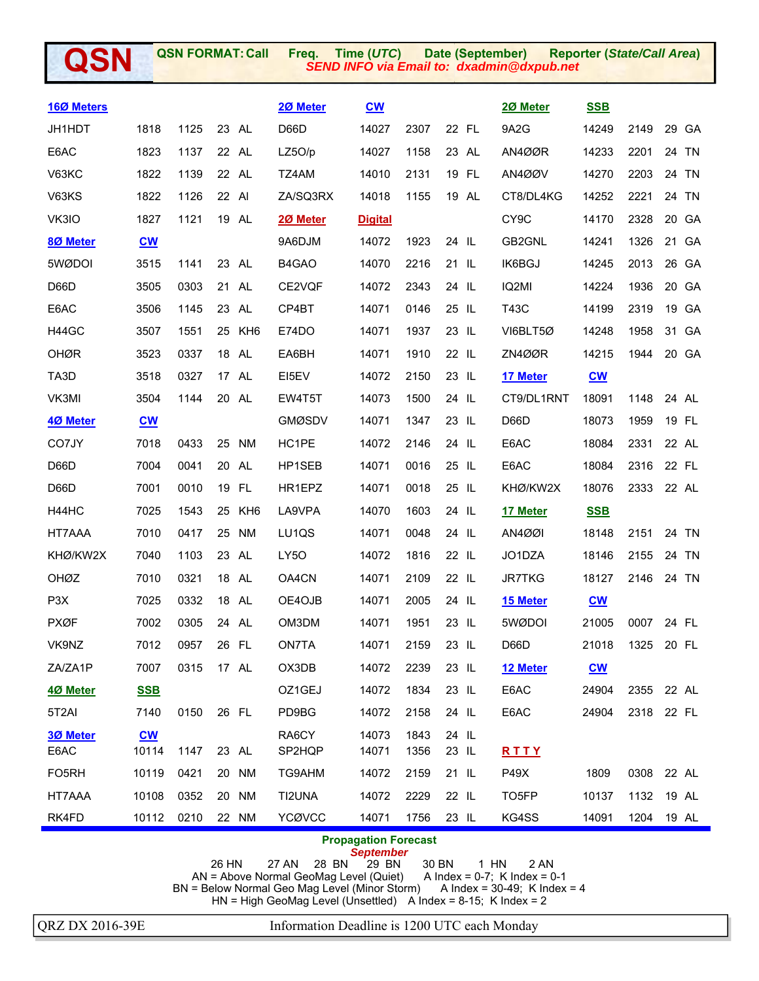| QSN                |                           | <b>QSN FORMAT: Call</b> |    |                 | Freq.<br>Time (UTC)<br>Date (September)<br><b>SEND INFO via Email to: dxadmin@dxpub.net</b> |                                                |              | <b>Reporter (State/Call Area)</b> |                   |                           |      |                 |
|--------------------|---------------------------|-------------------------|----|-----------------|---------------------------------------------------------------------------------------------|------------------------------------------------|--------------|-----------------------------------|-------------------|---------------------------|------|-----------------|
| 160 Meters         |                           |                         |    |                 | 20 Meter                                                                                    | $\underline{\mathbf{C}}\underline{\mathbf{W}}$ |              |                                   | 20 Meter          | <b>SSB</b>                |      |                 |
| JH1HDT             | 1818                      | 1125                    |    | 23 AL           | D66D                                                                                        | 14027                                          | 2307         | 22 FL                             | 9A2G              | 14249                     | 2149 | 29 GA           |
| E6AC               | 1823                      | 1137                    |    | 22 AL           | LZ5O/p                                                                                      | 14027                                          | 1158         | 23 AL                             | AN4ØØR            | 14233                     | 2201 | 24<br>TN        |
| <b>V63KC</b>       | 1822                      | 1139                    |    | 22 AL           | TZ4AM                                                                                       | 14010                                          | 2131         | 19 FL                             | AN4ØØV            | 14270                     | 2203 | 24 TN           |
| V63KS              | 1822                      | 1126                    |    | 22 AI           | ZA/SQ3RX                                                                                    | 14018                                          | 1155         | 19 AL                             | CT8/DL4KG         | 14252                     | 2221 | 24<br><b>TN</b> |
| VK3IO              | 1827                      | 1121                    |    | 19 AL           | 2Ø Meter                                                                                    | <b>Digital</b>                                 |              |                                   | CY <sub>9</sub> C | 14170                     | 2328 | 20<br>GA        |
| 80 Meter           | $\underline{\mathbf{CW}}$ |                         |    |                 | 9A6DJM                                                                                      | 14072                                          | 1923         | 24 IL                             | GB2GNL            | 14241                     | 1326 | 21<br>GA        |
| 5WØDOI             | 3515                      | 1141                    |    | 23 AL           | B4GAO                                                                                       | 14070                                          | 2216         | 21 IL                             | IK6BGJ            | 14245                     | 2013 | 26<br>GA        |
| D66D               | 3505                      | 0303                    |    | 21 AL           | CE2VQF                                                                                      | 14072                                          | 2343         | 24 IL                             | IQ2MI             | 14224                     | 1936 | 20<br>GA        |
| E6AC               | 3506                      | 1145                    |    | 23 AL           | CP4BT                                                                                       | 14071                                          | 0146         | 25 IL                             | <b>T43C</b>       | 14199                     | 2319 | 19<br>GA        |
| H44GC              | 3507                      | 1551                    | 25 | KH <sub>6</sub> | E74DO                                                                                       | 14071                                          | 1937         | 23 IL                             | VI6BLT5Ø          | 14248                     | 1958 | 31<br>GA        |
| <b>OHØR</b>        | 3523                      | 0337                    |    | 18 AL           | EA6BH                                                                                       | 14071                                          | 1910         | 22 IL                             | ZN4ØØR            | 14215                     | 1944 | 20<br><b>GA</b> |
| TA3D               | 3518                      | 0327                    |    | 17 AL           | EI5EV                                                                                       | 14072                                          | 2150         | 23 IL                             | 17 Meter          | $CM$                      |      |                 |
| VK3MI              | 3504                      | 1144                    |    | 20 AL           | EW4T5T                                                                                      | 14073                                          | 1500         | 24 IL                             | CT9/DL1RNT        | 18091                     | 1148 | 24 AL           |
| 4Ø Meter           | $\underline{\mathbf{cw}}$ |                         |    |                 | <b>GMØSDV</b>                                                                               | 14071                                          | 1347         | 23 IL                             | D66D              | 18073                     | 1959 | 19<br><b>FL</b> |
| CO7JY              | 7018                      | 0433                    |    | 25 NM           | HC1PE                                                                                       | 14072                                          | 2146         | 24 IL                             | E6AC              | 18084                     | 2331 | 22 AL           |
| D66D               | 7004                      | 0041                    |    | 20 AL           | HP1SEB                                                                                      | 14071                                          | 0016         | 25 IL                             | E6AC              | 18084                     | 2316 | 22 FL           |
| D66D               | 7001                      | 0010                    |    | 19 FL           | HR1EPZ                                                                                      | 14071                                          | 0018         | 25 IL                             | KHØ/KW2X          | 18076                     | 2333 | 22 AL           |
| H44HC              | 7025                      | 1543                    | 25 | KH <sub>6</sub> | LA9VPA                                                                                      | 14070                                          | 1603         | 24 IL                             | 17 Meter          | <b>SSB</b>                |      |                 |
| HT7AAA             | 7010                      | 0417                    |    | 25 NM           | LU1QS                                                                                       | 14071                                          | 0048         | 24 IL                             | <b>AN4ØØI</b>     | 18148                     | 2151 | 24 TN           |
| KHØ/KW2X           | 7040                      | 1103                    |    | 23 AL           | LY5O                                                                                        | 14072                                          | 1816         | 22 IL                             | JO1DZA            | 18146                     | 2155 | 24 TN           |
| OHØZ               | 7010                      | 0321                    | 18 | AL              | OA4CN                                                                                       | 14071                                          | 2109         | 22 IL                             | <b>JR7TKG</b>     | 18127                     | 2146 | 24 TN           |
| P <sub>3</sub> X   | 7025                      | 0332                    |    | 18 AL           | OE4OJB                                                                                      | 14071                                          | 2005         | 24 IL                             | 15 Meter          | $\underline{\mathbf{cw}}$ |      |                 |
| <b>PXØF</b>        | 7002                      | 0305                    |    | 24 AL           | OM3DM                                                                                       | 14071                                          | 1951         | 23 IL                             | 5WØDOI            | 21005                     | 0007 | 24 FL           |
| VK9NZ              | 7012                      | 0957                    |    | 26 FL           | ON7TA                                                                                       | 14071                                          | 2159         | 23 IL                             | D66D              | 21018                     | 1325 | 20 FL           |
| ZA/ZA1P            | 7007                      | 0315                    |    | 17 AL           | OX3DB                                                                                       | 14072                                          | 2239         | 23 IL                             | 12 Meter          | $CM$                      |      |                 |
| 4Ø Meter           | <b>SSB</b>                |                         |    |                 | OZ1GEJ                                                                                      | 14072                                          | 1834         | 23 IL                             | E6AC              | 24904                     | 2355 | 22 AL           |
| 5T2AI              | 7140                      | 0150                    |    | 26 FL           | PD9BG                                                                                       | 14072                                          | 2158         | 24 IL                             | E6AC              | 24904                     | 2318 | 22 FL           |
| 3Ø Meter<br>E6AC   | $CM$<br>10114             | 1147                    |    | 23 AL           | RA6CY<br>SP2HQP                                                                             | 14073<br>14071                                 | 1843<br>1356 | 24 IL<br>23 IL                    | RTTY              |                           |      |                 |
| FO <sub>5</sub> RH | 10119                     | 0421                    |    | 20 NM           | TG9AHM                                                                                      | 14072                                          | 2159         | 21 IL                             | P49X              | 1809                      | 0308 | 22 AL           |
| HT7AAA             | 10108                     | 0352                    |    | 20 NM           | TI2UNA                                                                                      | 14072                                          | 2229         | 22 IL                             | TO5FP             | 10137                     | 1132 | 19 AL           |
| RK4FD              | 10112                     | 0210                    |    | 22 NM           | YCØVCC                                                                                      | 14071                                          | 1756         | 23 IL                             | KG4SS             | 14091                     | 1204 | 19 AL           |

# **Propagation Forecast**

*September*  26 HN 27 AN 28 BN 29 BN 30 BN 1 HN 2 AN AN = Above Normal GeoMag Level (Quiet) A Index = 0-7; K Index = 0-1 BN = Below Normal Geo Mag Level (Minor Storm) A Index = 30-49; K Index = 4 HN = High GeoMag Level (Unsettled) A Index = 8-15; K Index = 2

QRZ DX 2016-39E Information Deadline is 1200 UTC each Monday